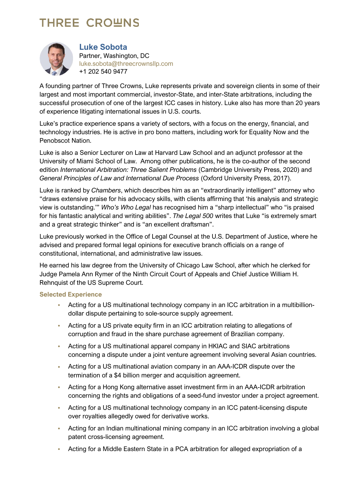# **THREE CROWNS**



**Luke Sobota** Partner, Washington, DC [luke.sobota@threecrownsllp.com](mailto:luke.sobota@threecrownsllp.com) +1 202 540 9477

A founding partner of Three Crowns, Luke represents private and sovereign clients in some of their largest and most important commercial, investor-State, and inter-State arbitrations, including the successful prosecution of one of the largest ICC cases in history. Luke also has more than 20 years of experience litigating international issues in U.S. courts.

Luke's practice experience spans a variety of sectors, with a focus on the energy, financial, and technology industries. He is active in pro bono matters, including work for Equality Now and the Penobscot Nation.

Luke is also a Senior Lecturer on Law at Harvard Law School and an adjunct professor at the University of Miami School of Law. Among other publications, he is the co-author of the second edition *International Arbitration: Three Salient Problems* (Cambridge University Press, 2020) and *General Principles of Law and International Due Process* (Oxford University Press, 2017).

Luke is ranked by *Chambers*, which describes him as an "extraordinarily intelligent" attorney who "draws extensive praise for his advocacy skills, with clients affirming that 'his analysis and strategic view is outstanding.'" *Who's Who Legal* has recognised him a "sharp intellectual" who "is praised for his fantastic analytical and writing abilities". *The Legal 500* writes that Luke "is extremely smart and a great strategic thinker" and is "an excellent draftsman".

Luke previously worked in the Office of Legal Counsel at the U.S. Department of Justice, where he advised and prepared formal legal opinions for executive branch officials on a range of constitutional, international, and administrative law issues.

He earned his law degree from the University of Chicago Law School, after which he clerked for Judge Pamela Ann Rymer of the Ninth Circuit Court of Appeals and Chief Justice William H. Rehnquist of the US Supreme Court.

#### **Selected Experience**

- Acting for a US multinational technology company in an ICC arbitration in a multibilliondollar dispute pertaining to sole-source supply agreement.
- Acting for a US private equity firm in an ICC arbitration relating to allegations of corruption and fraud in the share purchase agreement of Brazilian company.
- Acting for a US multinational apparel company in HKIAC and SIAC arbitrations concerning a dispute under a joint venture agreement involving several Asian countries.
- Acting for a US multinational aviation company in an AAA-ICDR dispute over the termination of a \$4 billion merger and acquisition agreement.
- Acting for a Hong Kong alternative asset investment firm in an AAA-ICDR arbitration concerning the rights and obligations of a seed-fund investor under a project agreement.
- Acting for a US multinational technology company in an ICC patent-licensing dispute over royalties allegedly owed for derivative works.
- Acting for an Indian multinational mining company in an ICC arbitration involving a global patent cross-licensing agreement.
- Acting for a Middle Eastern State in a PCA arbitration for alleged expropriation of a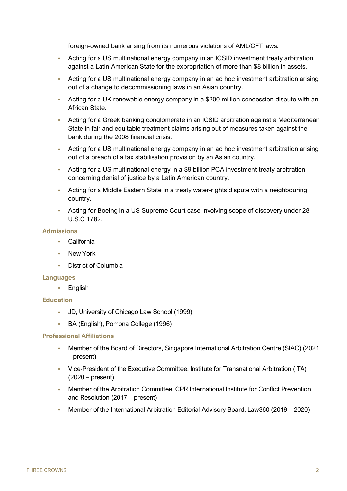foreign-owned bank arising from its numerous violations of AML/CFT laws.

- Acting for a US multinational energy company in an ICSID investment treaty arbitration against a Latin American State for the expropriation of more than \$8 billion in assets.
- Acting for a US multinational energy company in an ad hoc investment arbitration arising out of a change to decommissioning laws in an Asian country.
- Acting for a UK renewable energy company in a \$200 million concession dispute with an African State.
- Acting for a Greek banking conglomerate in an ICSID arbitration against a Mediterranean State in fair and equitable treatment claims arising out of measures taken against the bank during the 2008 financial crisis.
- Acting for a US multinational energy company in an ad hoc investment arbitration arising out of a breach of a tax stabilisation provision by an Asian country.
- Acting for a US multinational energy in a \$9 billion PCA investment treaty arbitration concerning denial of justice by a Latin American country.
- Acting for a Middle Eastern State in a treaty water-rights dispute with a neighbouring country.
- Acting for Boeing in a US Supreme Court case involving scope of discovery under 28 U.S.C 1782.

#### **Admissions**

- California
- New York
- District of Columbia

#### **Languages**

• English

#### **Education**

- JD, University of Chicago Law School (1999)
- BA (English), Pomona College (1996)

#### **Professional Affiliations**

- Member of the Board of Directors, Singapore International Arbitration Centre (SIAC) (2021 – present)
- Vice-President of the Executive Committee, Institute for Transnational Arbitration (ITA) (2020 – present)
- Member of the Arbitration Committee, CPR International Institute for Conflict Prevention and Resolution (2017 – present)
- Member of the International Arbitration Editorial Advisory Board, Law360 (2019 2020)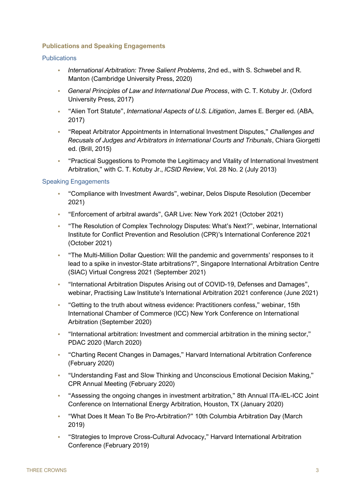### **Publications and Speaking Engagements**

#### **Publications**

- *International Arbitration: Three Salient Problems*, 2nd ed., with S. Schwebel and R. Manton (Cambridge University Press, 2020)
- *General Principles of Law and International Due Process*, with C. T. Kotuby Jr. (Oxford University Press, 2017)
- "Alien Tort Statute", *International Aspects of U.S. Litigation*, James E. Berger ed. (ABA, 2017)
- "Repeat Arbitrator Appointments in International Investment Disputes," *Challenges and Recusals of Judges and Arbitrators in International Courts and Tribunals*, Chiara Giorgetti ed. (Brill, 2015)
- "Practical Suggestions to Promote the Legitimacy and Vitality of International Investment Arbitration," with C. T. Kotuby Jr., *ICSID Review*, Vol. 28 No. 2 (July 2013)

## Speaking Engagements

- "Compliance with Investment Awards", webinar, Delos Dispute Resolution (December 2021)
- "Enforcement of arbitral awards", GAR Live: New York 2021 (October 2021)
- "The Resolution of Complex Technology Disputes: What's Next?", webinar, International Institute for Conflict Prevention and Resolution (CPR)'s International Conference 2021 (October 2021)
- "The Multi-Million Dollar Question: Will the pandemic and governments' responses to it lead to a spike in investor-State arbitrations?", Singapore International Arbitration Centre (SIAC) Virtual Congress 2021 (September 2021)
- "International Arbitration Disputes Arising out of COVID-19, Defenses and Damages", webinar, Practising Law Institute's International Arbitration 2021 conference (June 2021)
- "Getting to the truth about witness evidence: Practitioners confess," webinar, 15th International Chamber of Commerce (ICC) New York Conference on International Arbitration (September 2020)
- "International arbitration: Investment and commercial arbitration in the mining sector," PDAC 2020 (March 2020)
- "Charting Recent Changes in Damages," Harvard International Arbitration Conference (February 2020)
- "Understanding Fast and Slow Thinking and Unconscious Emotional Decision Making," CPR Annual Meeting (February 2020)
- "Assessing the ongoing changes in investment arbitration," 8th Annual ITA-IEL-ICC Joint Conference on International Energy Arbitration, Houston, TX (January 2020)
- "What Does It Mean To Be Pro-Arbitration?" 10th Columbia Arbitration Day (March 2019)
- "Strategies to Improve Cross-Cultural Advocacy," Harvard International Arbitration Conference (February 2019)